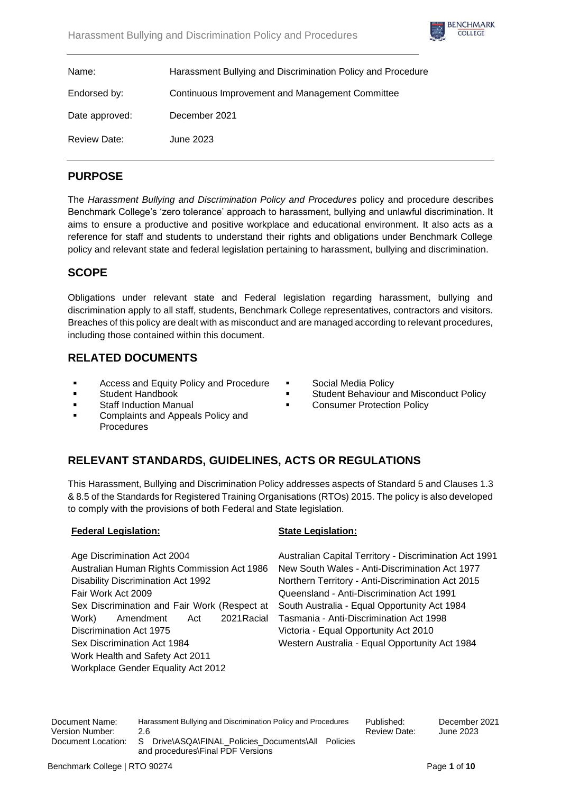

| Name:               | Harassment Bullying and Discrimination Policy and Procedure |
|---------------------|-------------------------------------------------------------|
| Endorsed by:        | Continuous Improvement and Management Committee             |
| Date approved:      | December 2021                                               |
| <b>Review Date:</b> | June 2023                                                   |

# **PURPOSE**

The *Harassment Bullying and Discrimination Policy and Procedures* policy and procedure describes Benchmark College's 'zero tolerance' approach to harassment, bullying and unlawful discrimination. It aims to ensure a productive and positive workplace and educational environment. It also acts as a reference for staff and students to understand their rights and obligations under Benchmark College policy and relevant state and federal legislation pertaining to harassment, bullying and discrimination.

# **SCOPE**

Obligations under relevant state and Federal legislation regarding harassment, bullying and discrimination apply to all staff, students, Benchmark College representatives, contractors and visitors. Breaches of this policy are dealt with as misconduct and are managed according to relevant procedures, including those contained within this document.

# **RELATED DOCUMENTS**

- Access and Equity Policy and Procedure
- Student Handbook
- **Staff Induction Manual**
- Complaints and Appeals Policy and Procedures
- Social Media Policy
- **Student Behaviour and Misconduct Policy**
- **Consumer Protection Policy**

# **RELEVANT STANDARDS, GUIDELINES, ACTS OR REGULATIONS**

This Harassment, Bullying and Discrimination Policy addresses aspects of Standard 5 and Clauses 1.3 & 8.5 of the Standards for Registered Training Organisations (RTOs) 2015. The policy is also developed to comply with the provisions of both Federal and State legislation.

# **Federal Legislation:**

Age Discrimination Act 2004 Australian Human Rights Commission Act 1986 Disability Discrimination Act 1992 Fair Work Act 2009 Sex Discrimination and Fair Work (Respect at Work) Amendment Act 2021Racial Discrimination Act 1975 Sex Discrimination Act 1984 Work Health and Safety Act 2011 Workplace Gender Equality Act 2012

# **State Legislation:**

Australian Capital Territory - Discrimination Act 1991 New South Wales - Anti-Discrimination Act 1977 Northern Territory - Anti-Discrimination Act 2015 Queensland - Anti-Discrimination Act 1991 South Australia - Equal Opportunity Act 1984 Tasmania - Anti-Discrimination Act 1998 Victoria - Equal Opportunity Act 2010 Western Australia - Equal Opportunity Act 1984

Document Name: Harassment Bullying and Discrimination Policy and Procedures Published: December 2021 Version Number: 2.6 2.6 and 2023 and 2023 and 2023 and 2023 and 2023 and 2023 Document Location: S Drive\ASQA\FINAL\_Policies\_Documents\All Policies and procedures\Final PDF Versions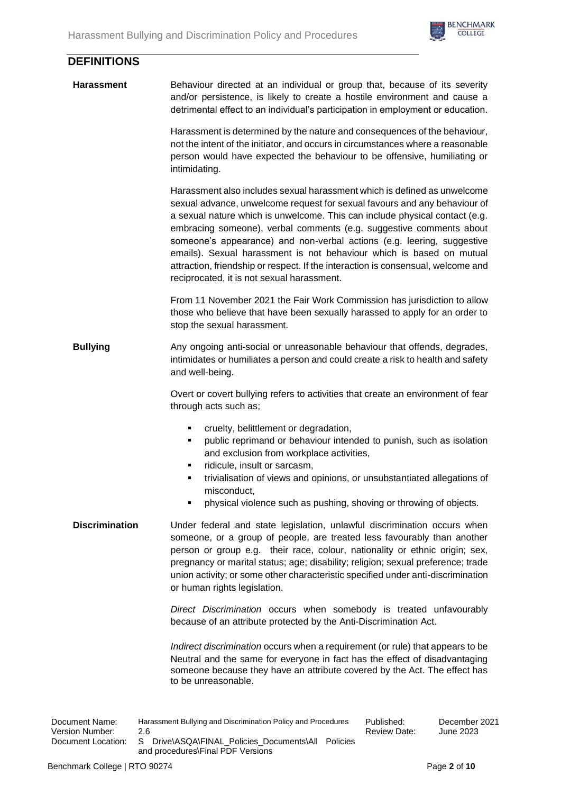

| <b>DEFINITIONS</b>    |                                                                                                                                                                                                                                                                                                                                                                                                                                                                                                                                                                                                 |
|-----------------------|-------------------------------------------------------------------------------------------------------------------------------------------------------------------------------------------------------------------------------------------------------------------------------------------------------------------------------------------------------------------------------------------------------------------------------------------------------------------------------------------------------------------------------------------------------------------------------------------------|
| <b>Harassment</b>     | Behaviour directed at an individual or group that, because of its severity<br>and/or persistence, is likely to create a hostile environment and cause a<br>detrimental effect to an individual's participation in employment or education.                                                                                                                                                                                                                                                                                                                                                      |
|                       | Harassment is determined by the nature and consequences of the behaviour,<br>not the intent of the initiator, and occurs in circumstances where a reasonable<br>person would have expected the behaviour to be offensive, humiliating or<br>intimidating.                                                                                                                                                                                                                                                                                                                                       |
|                       | Harassment also includes sexual harassment which is defined as unwelcome<br>sexual advance, unwelcome request for sexual favours and any behaviour of<br>a sexual nature which is unwelcome. This can include physical contact (e.g.<br>embracing someone), verbal comments (e.g. suggestive comments about<br>someone's appearance) and non-verbal actions (e.g. leering, suggestive<br>emails). Sexual harassment is not behaviour which is based on mutual<br>attraction, friendship or respect. If the interaction is consensual, welcome and<br>reciprocated, it is not sexual harassment. |
|                       | From 11 November 2021 the Fair Work Commission has jurisdiction to allow<br>those who believe that have been sexually harassed to apply for an order to<br>stop the sexual harassment.                                                                                                                                                                                                                                                                                                                                                                                                          |
| <b>Bullying</b>       | Any ongoing anti-social or unreasonable behaviour that offends, degrades,<br>intimidates or humiliates a person and could create a risk to health and safety<br>and well-being.                                                                                                                                                                                                                                                                                                                                                                                                                 |
|                       | Overt or covert bullying refers to activities that create an environment of fear<br>through acts such as;                                                                                                                                                                                                                                                                                                                                                                                                                                                                                       |
|                       | cruelty, belittlement or degradation,<br>٠<br>public reprimand or behaviour intended to punish, such as isolation<br>٠<br>and exclusion from workplace activities,<br>ridicule, insult or sarcasm,<br>trivialisation of views and opinions, or unsubstantiated allegations of<br>misconduct,                                                                                                                                                                                                                                                                                                    |
|                       | physical violence such as pushing, shoving or throwing of objects.<br>٠                                                                                                                                                                                                                                                                                                                                                                                                                                                                                                                         |
| <b>Discrimination</b> | Under federal and state legislation, unlawful discrimination occurs when<br>someone, or a group of people, are treated less favourably than another<br>person or group e.g. their race, colour, nationality or ethnic origin; sex,<br>pregnancy or marital status; age; disability; religion; sexual preference; trade<br>union activity; or some other characteristic specified under anti-discrimination<br>or human rights legislation.                                                                                                                                                      |
|                       | Direct Discrimination occurs when somebody is treated unfavourably<br>because of an attribute protected by the Anti-Discrimination Act.                                                                                                                                                                                                                                                                                                                                                                                                                                                         |
|                       | Indirect discrimination occurs when a requirement (or rule) that appears to be<br>Neutral and the same for everyone in fact has the effect of disadvantaging<br>someone because they have an attribute covered by the Act. The effect has<br>to be unreasonable.                                                                                                                                                                                                                                                                                                                                |

Document Name: Harassment Bullying and Discrimination Policy and Procedures Published: December 2021 Version Number:<br>Document Location: S Drive\ASQA\FINAL\_Policies\_Documents\All Policies and procedures\Final PDF Versions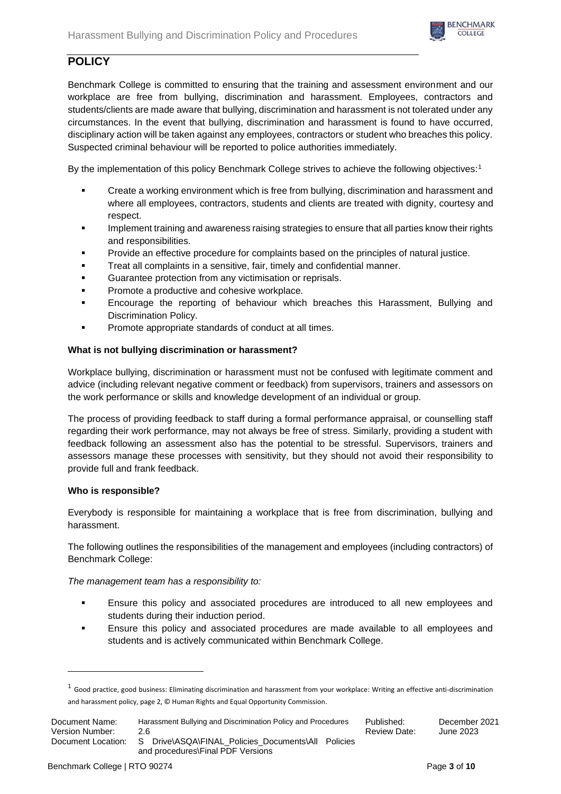

# **POLICY**

Benchmark College is committed to ensuring that the training and assessment environment and our workplace are free from bullying, discrimination and harassment. Employees, contractors and students/clients are made aware that bullying, discrimination and harassment is not tolerated under any circumstances. In the event that bullying, discrimination and harassment is found to have occurred, disciplinary action will be taken against any employees, contractors or student who breaches this policy. Suspected criminal behaviour will be reported to police authorities immediately.

By the implementation of this policy Benchmark College strives to achieve the following objectives:<sup>1</sup>

- Create a working environment which is free from bullying, discrimination and harassment and where all employees, contractors, students and clients are treated with dignity, courtesy and respect.
- Implement training and awareness raising strategies to ensure that all parties know their rights and responsibilities.
- Provide an effective procedure for complaints based on the principles of natural justice.
- **•** Treat all complaints in a sensitive, fair, timely and confidential manner.
- Guarantee protection from any victimisation or reprisals.
- Promote a productive and cohesive workplace.
- Encourage the reporting of behaviour which breaches this Harassment, Bullying and Discrimination Policy.
- Promote appropriate standards of conduct at all times.

# **What is not bullying discrimination or harassment?**

Workplace bullying, discrimination or harassment must not be confused with legitimate comment and advice (including relevant negative comment or feedback) from supervisors, trainers and assessors on the work performance or skills and knowledge development of an individual or group.

The process of providing feedback to staff during a formal performance appraisal, or counselling staff regarding their work performance, may not always be free of stress. Similarly, providing a student with feedback following an assessment also has the potential to be stressful. Supervisors, trainers and assessors manage these processes with sensitivity, but they should not avoid their responsibility to provide full and frank feedback.

# **Who is responsible?**

Everybody is responsible for maintaining a workplace that is free from discrimination, bullying and harassment.

The following outlines the responsibilities of the management and employees (including contractors) of Benchmark College:

*The management team has a responsibility to:*

- Ensure this policy and associated procedures are introduced to all new employees and students during their induction period.
- Ensure this policy and associated procedures are made available to all employees and students and is actively communicated within Benchmark College.

 $^1$  Good practice, good business: Eliminating discrimination and harassment from your workplace: Writing an effective anti-discrimination and harassment policy, page 2, © Human Rights and Equal Opportunity Commission.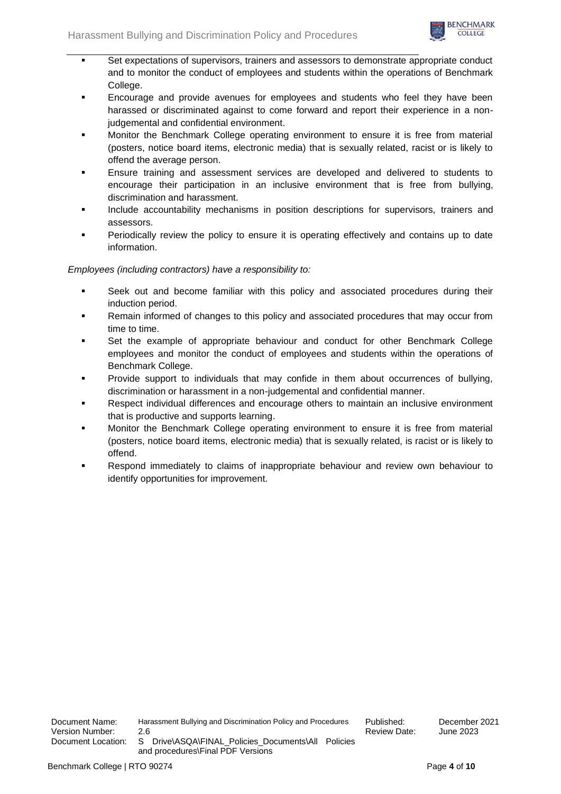

- Set expectations of supervisors, trainers and assessors to demonstrate appropriate conduct and to monitor the conduct of employees and students within the operations of Benchmark College.
- Encourage and provide avenues for employees and students who feel they have been harassed or discriminated against to come forward and report their experience in a nonjudgemental and confidential environment.
- Monitor the Benchmark College operating environment to ensure it is free from material (posters, notice board items, electronic media) that is sexually related, racist or is likely to offend the average person.
- Ensure training and assessment services are developed and delivered to students to encourage their participation in an inclusive environment that is free from bullying, discrimination and harassment.
- Include accountability mechanisms in position descriptions for supervisors, trainers and assessors.
- **•** Periodically review the policy to ensure it is operating effectively and contains up to date information.

# *Employees (including contractors) have a responsibility to:*

- Seek out and become familiar with this policy and associated procedures during their induction period.
- Remain informed of changes to this policy and associated procedures that may occur from time to time.
- Set the example of appropriate behaviour and conduct for other Benchmark College employees and monitor the conduct of employees and students within the operations of Benchmark College.
- Provide support to individuals that may confide in them about occurrences of bullying, discrimination or harassment in a non-judgemental and confidential manner.
- Respect individual differences and encourage others to maintain an inclusive environment that is productive and supports learning.
- Monitor the Benchmark College operating environment to ensure it is free from material (posters, notice board items, electronic media) that is sexually related, is racist or is likely to offend.
- Respond immediately to claims of inappropriate behaviour and review own behaviour to identify opportunities for improvement.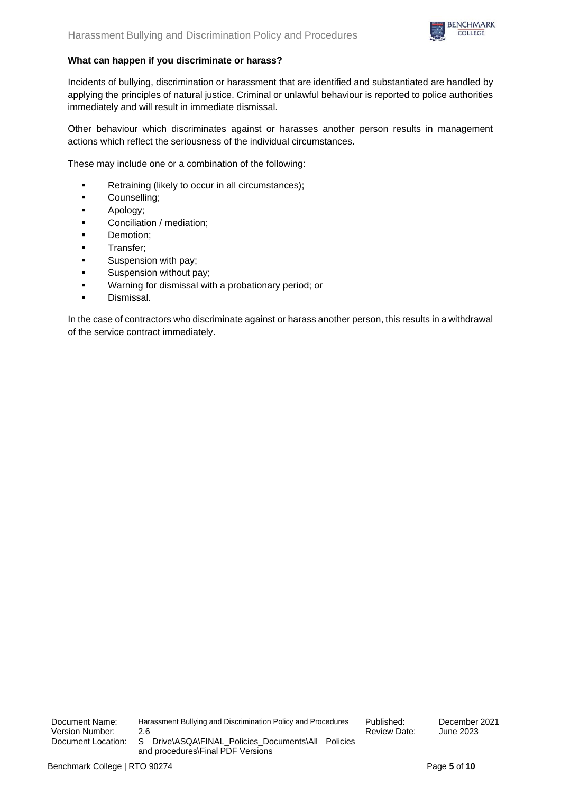

## **What can happen if you discriminate or harass?**

Incidents of bullying, discrimination or harassment that are identified and substantiated are handled by applying the principles of natural justice. Criminal or unlawful behaviour is reported to police authorities immediately and will result in immediate dismissal.

Other behaviour which discriminates against or harasses another person results in management actions which reflect the seriousness of the individual circumstances.

These may include one or a combination of the following:

- Retraining (likely to occur in all circumstances);
- Counselling;
- Apology;
- Conciliation / mediation;
- Demotion;
- Transfer;
- Suspension with pay;
- **■** Suspension without pay;
- Warning for dismissal with a probationary period; or
- Dismissal.

In the case of contractors who discriminate against or harass another person, this results in a withdrawal of the service contract immediately.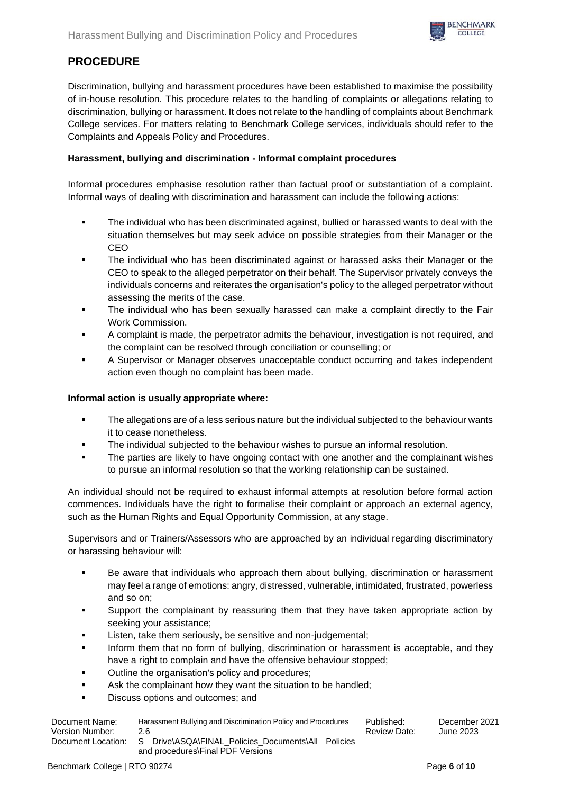

# **PROCEDURE**

Discrimination, bullying and harassment procedures have been established to maximise the possibility of in-house resolution. This procedure relates to the handling of complaints or allegations relating to discrimination, bullying or harassment. It does not relate to the handling of complaints about Benchmark College services. For matters relating to Benchmark College services, individuals should refer to the Complaints and Appeals Policy and Procedures.

# **Harassment, bullying and discrimination - Informal complaint procedures**

Informal procedures emphasise resolution rather than factual proof or substantiation of a complaint. Informal ways of dealing with discrimination and harassment can include the following actions:

- The individual who has been discriminated against, bullied or harassed wants to deal with the situation themselves but may seek advice on possible strategies from their Manager or the CEO
- **The individual who has been discriminated against or harassed asks their Manager or the** CEO to speak to the alleged perpetrator on their behalf. The Supervisor privately conveys the individuals concerns and reiterates the organisation's policy to the alleged perpetrator without assessing the merits of the case.
- The individual who has been sexually harassed can make a complaint directly to the Fair Work Commission.
- A complaint is made, the perpetrator admits the behaviour, investigation is not required, and the complaint can be resolved through conciliation or counselling; or
- A Supervisor or Manager observes unacceptable conduct occurring and takes independent action even though no complaint has been made.

# **Informal action is usually appropriate where:**

- **The allegations are of a less serious nature but the individual subjected to the behaviour wants** it to cease nonetheless.
- The individual subjected to the behaviour wishes to pursue an informal resolution.
- The parties are likely to have ongoing contact with one another and the complainant wishes to pursue an informal resolution so that the working relationship can be sustained.

An individual should not be required to exhaust informal attempts at resolution before formal action commences. Individuals have the right to formalise their complaint or approach an external agency, such as the Human Rights and Equal Opportunity Commission, at any stage.

Supervisors and or Trainers/Assessors who are approached by an individual regarding discriminatory or harassing behaviour will:

- Be aware that individuals who approach them about bullying, discrimination or harassment may feel a range of emotions: angry, distressed, vulnerable, intimidated, frustrated, powerless and so on;
- Support the complainant by reassuring them that they have taken appropriate action by seeking your assistance;
- Listen, take them seriously, be sensitive and non-judgemental;
- **•** Inform them that no form of bullying, discrimination or harassment is acceptable, and they have a right to complain and have the offensive behaviour stopped;
- Outline the organisation's policy and procedures;
- **EXECT:** Ask the complainant how they want the situation to be handled;
- Discuss options and outcomes; and

| Document Name:     | Harassment Bullying and Discrimination Policy and Procedures | Published:   | December 2021 |
|--------------------|--------------------------------------------------------------|--------------|---------------|
| Version Number:    | 26                                                           | Review Date: | June 2023     |
| Document Location: | Drive\ASQA\FINAL Policies Documents\All Policies<br>S.       |              |               |
|                    | and procedures\Final PDF Versions                            |              |               |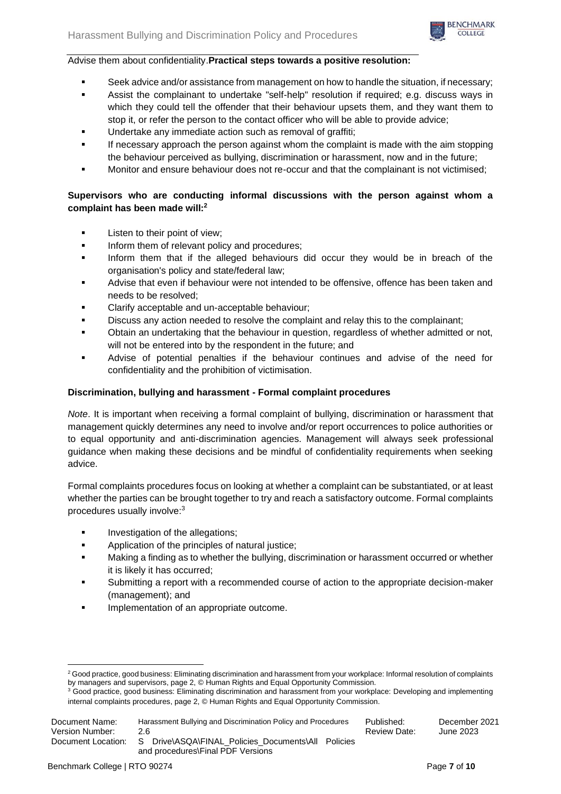

### Advise them about confidentiality.**Practical steps towards a positive resolution:**

- Seek advice and/or assistance from management on how to handle the situation, if necessary;
- Assist the complainant to undertake "self-help" resolution if required; e.g. discuss ways in which they could tell the offender that their behaviour upsets them, and they want them to stop it, or refer the person to the contact officer who will be able to provide advice;
- Undertake any immediate action such as removal of graffiti;
- If necessary approach the person against whom the complaint is made with the aim stopping the behaviour perceived as bullying, discrimination or harassment, now and in the future;
- Monitor and ensure behaviour does not re-occur and that the complainant is not victimised;

# **Supervisors who are conducting informal discussions with the person against whom a complaint has been made will:<sup>2</sup>**

- Listen to their point of view;
- **•** Inform them of relevant policy and procedures;
- Inform them that if the alleged behaviours did occur they would be in breach of the organisation's policy and state/federal law;
- Advise that even if behaviour were not intended to be offensive, offence has been taken and needs to be resolved;
- Clarify acceptable and un-acceptable behaviour;
- Discuss any action needed to resolve the complaint and relay this to the complainant;
- Obtain an undertaking that the behaviour in question, regardless of whether admitted or not, will not be entered into by the respondent in the future; and
- Advise of potential penalties if the behaviour continues and advise of the need for confidentiality and the prohibition of victimisation.

# **Discrimination, bullying and harassment - Formal complaint procedures**

*Note*. It is important when receiving a formal complaint of bullying, discrimination or harassment that management quickly determines any need to involve and/or report occurrences to police authorities or to equal opportunity and anti-discrimination agencies. Management will always seek professional guidance when making these decisions and be mindful of confidentiality requirements when seeking advice.

Formal complaints procedures focus on looking at whether a complaint can be substantiated, or at least whether the parties can be brought together to try and reach a satisfactory outcome. Formal complaints procedures usually involve:<sup>3</sup>

- Investigation of the allegations;
- Application of the principles of natural justice;
- Making a finding as to whether the bullying, discrimination or harassment occurred or whether it is likely it has occurred;
- Submitting a report with a recommended course of action to the appropriate decision-maker (management); and
- Implementation of an appropriate outcome.

<sup>&</sup>lt;sup>2</sup> Good practice, good business: Eliminating discrimination and harassment from your workplace: Informal resolution of complaints by managers and supervisors, page 2, © Human Rights and Equal Opportunity Commission.

<sup>&</sup>lt;sup>3</sup> Good practice, good business: Eliminating discrimination and harassment from your workplace: Developing and implementing internal complaints procedures, page 2, © Human Rights and Equal Opportunity Commission.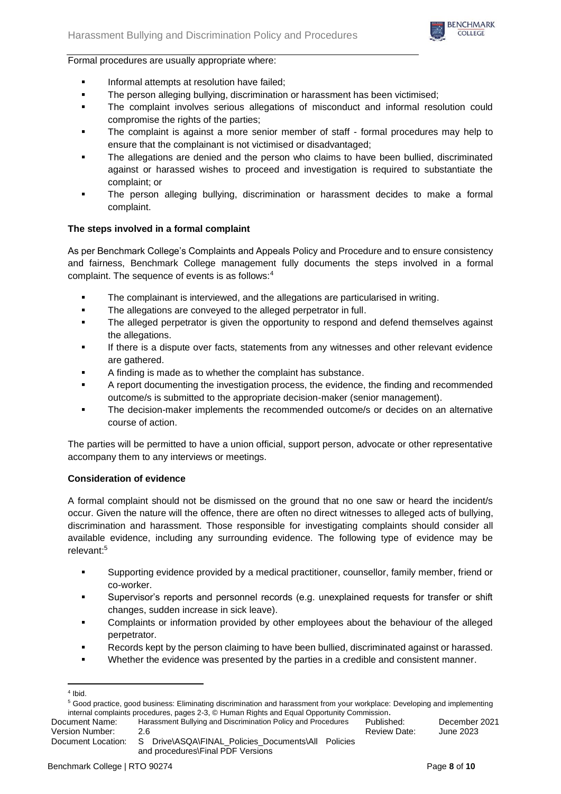

Formal procedures are usually appropriate where:

- Informal attempts at resolution have failed;
- The person alleging bullying, discrimination or harassment has been victimised;
- The complaint involves serious allegations of misconduct and informal resolution could compromise the rights of the parties;
- The complaint is against a more senior member of staff formal procedures may help to ensure that the complainant is not victimised or disadvantaged;
- The allegations are denied and the person who claims to have been bullied, discriminated against or harassed wishes to proceed and investigation is required to substantiate the complaint; or
- The person alleging bullying, discrimination or harassment decides to make a formal complaint.

# **The steps involved in a formal complaint**

As per Benchmark College's Complaints and Appeals Policy and Procedure and to ensure consistency and fairness, Benchmark College management fully documents the steps involved in a formal complaint. The sequence of events is as follows:<sup>4</sup>

- The complainant is interviewed, and the allegations are particularised in writing.
- **•** The allegations are conveyed to the alleged perpetrator in full.
- The alleged perpetrator is given the opportunity to respond and defend themselves against the allegations.
- If there is a dispute over facts, statements from any witnesses and other relevant evidence are gathered.
- A finding is made as to whether the complaint has substance.
- A report documenting the investigation process, the evidence, the finding and recommended outcome/s is submitted to the appropriate decision-maker (senior management).
- The decision-maker implements the recommended outcome/s or decides on an alternative course of action.

The parties will be permitted to have a union official, support person, advocate or other representative accompany them to any interviews or meetings.

# **Consideration of evidence**

A formal complaint should not be dismissed on the ground that no one saw or heard the incident/s occur. Given the nature will the offence, there are often no direct witnesses to alleged acts of bullying, discrimination and harassment. Those responsible for investigating complaints should consider all available evidence, including any surrounding evidence. The following type of evidence may be relevant:<sup>5</sup>

- Supporting evidence provided by a medical practitioner, counsellor, family member, friend or co-worker.
- Supervisor's reports and personnel records (e.g. unexplained requests for transfer or shift changes, sudden increase in sick leave).
- Complaints or information provided by other employees about the behaviour of the alleged perpetrator.
- Records kept by the person claiming to have been bullied, discriminated against or harassed.
- Whether the evidence was presented by the parties in a credible and consistent manner.

Document Name: Harassment Bullying and Discrimination Policy and Procedures Published: December 2021 Version Number: 2.6 2.6 and 2023 and 2023 Review Date: June 2023

<sup>4</sup> Ibid.

<sup>5</sup> Good practice, good business: Eliminating discrimination and harassment from your workplace: Developing and implementing internal complaints procedures, pages 2-3, © Human Rights and Equal Opportunity Commission.

Document Location: S Drive\ASQA\FINAL\_Policies\_Documents\All Policies and procedures\Final PDF Versions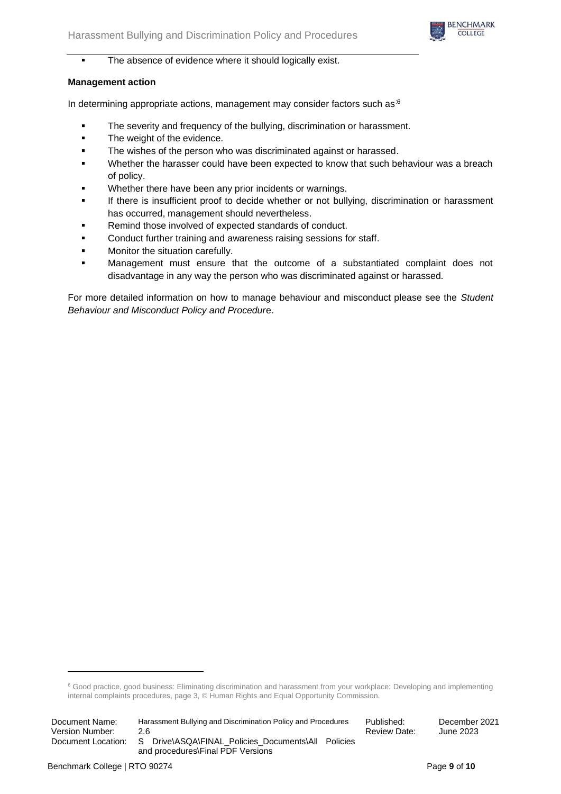

■ The absence of evidence where it should logically exist.

# **Management action**

In determining appropriate actions, management may consider factors such as  $6$ 

- The severity and frequency of the bullying, discrimination or harassment.
- The weight of the evidence.
- **•** The wishes of the person who was discriminated against or harassed.
- Whether the harasser could have been expected to know that such behaviour was a breach of policy.
- Whether there have been any prior incidents or warnings.
- If there is insufficient proof to decide whether or not bullying, discrimination or harassment has occurred, management should nevertheless.
- Remind those involved of expected standards of conduct.
- Conduct further training and awareness raising sessions for staff.
- Monitor the situation carefully.
- Management must ensure that the outcome of a substantiated complaint does not disadvantage in any way the person who was discriminated against or harassed.

For more detailed information on how to manage behaviour and misconduct please see the *Student Behaviour and Misconduct Policy and Procedur*e.

<sup>&</sup>lt;sup>6</sup> Good practice, good business: Eliminating discrimination and harassment from your workplace: Developing and implementing internal complaints procedures, page 3, © Human Rights and Equal Opportunity Commission.